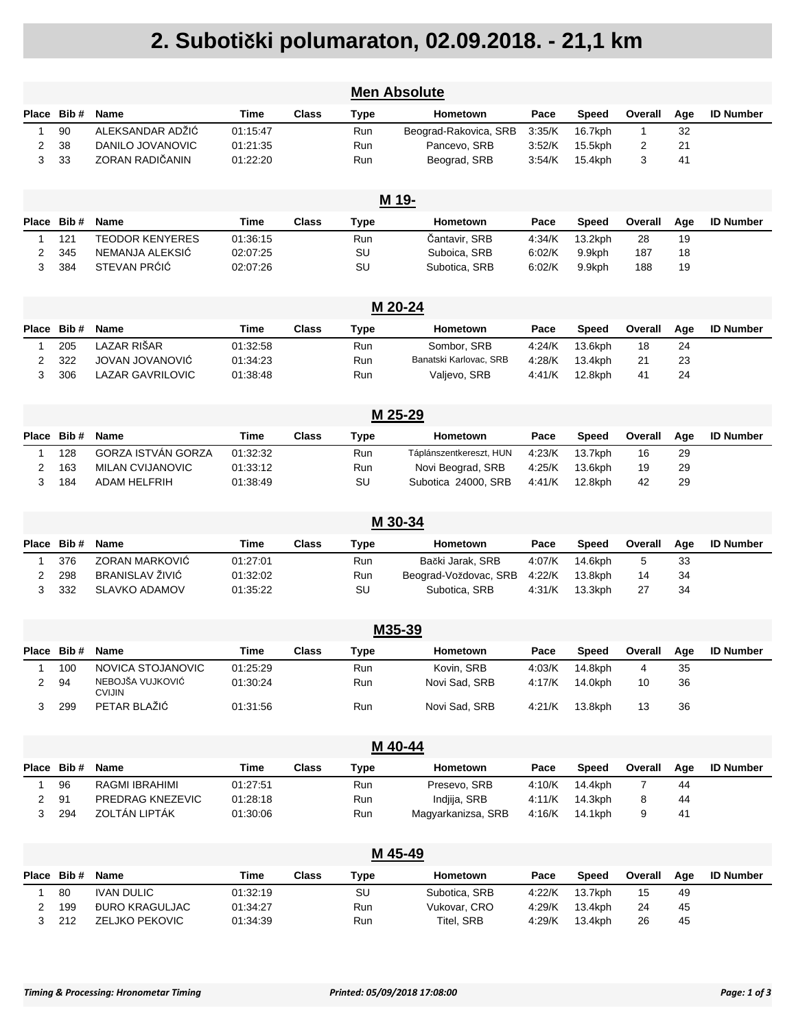## **2. Suboti**č**ki polumaraton, 02.09.2018. - 21,1 km**

|       |            |                                                |                      |              |             | <b>Men Absolute</b>        |                  |                    |              |          |                  |  |
|-------|------------|------------------------------------------------|----------------------|--------------|-------------|----------------------------|------------------|--------------------|--------------|----------|------------------|--|
| Place | Bib#       | <b>Name</b>                                    | Time                 | <b>Class</b> | Type        | <b>Hometown</b>            | Pace             | <b>Speed</b>       | Overall      | Age      | <b>ID Number</b> |  |
| 1     | 90         | ALEKSANDAR ADŽIĆ                               | 01:15:47             |              | <b>Run</b>  | Beograd-Rakovica, SRB      | 3:35/K           | 16.7kph            | $\mathbf{1}$ | 32       |                  |  |
| 2     | 38         | DANILO JOVANOVIC                               | 01:21:35             |              | <b>Run</b>  | Pancevo, SRB               | 3:52/K           | 15.5kph            | 2            | 21       |                  |  |
| 3     | 33         | ZORAN RADIČANIN                                | 01:22:20             |              | Run         | Beograd, SRB               | 3:54/K           | 15.4kph            | 3            | 41       |                  |  |
|       |            |                                                |                      |              |             |                            |                  |                    |              |          |                  |  |
|       | M 19-      |                                                |                      |              |             |                            |                  |                    |              |          |                  |  |
| Place | Bib#       | Name                                           | Time                 | <b>Class</b> | Type        | Hometown                   | Pace             | <b>Speed</b>       | Overall      | Age      | <b>ID Number</b> |  |
| 1     | 121        | <b>TEODOR KENYERES</b>                         | 01:36:15             |              | <b>Run</b>  | Čantavir, SRB              | 4:34/K           | 13.2kph            | 28           | 19       |                  |  |
| 2     | 345        | NEMANJA ALEKSIĆ                                | 02:07:25             |              | SU          | Suboica, SRB               | 6:02/K           | 9.9kph             | 187          | 18       |                  |  |
| 3     | 384        | STEVAN PRÓIC                                   | 02:07:26             |              | SU          | Subotica, SRB              | 6:02/K           | 9.9kph             | 188          | 19       |                  |  |
|       | M 20-24    |                                                |                      |              |             |                            |                  |                    |              |          |                  |  |
| Place | Bib#       | <b>Name</b>                                    | Time                 | <b>Class</b> | Type        | <b>Hometown</b>            | Pace             | Speed              | Overall      | Age      | <b>ID Number</b> |  |
| 1     | 205        | <b>LAZAR RIŠAR</b>                             | 01:32:58             |              | <b>Run</b>  | Sombor, SRB                | 4:24/K           | 13.6kph            | 18           | 24       |                  |  |
| 2     | 322        | JOVAN JOVANOVIĆ                                | 01:34:23             |              | Run         | Banatski Karlovac, SRB     | 4:28/K           | 13.4kph            | 21           | 23       |                  |  |
| 3     | 306        | <b>LAZAR GAVRILOVIC</b>                        | 01:38:48             |              | Run         | Valjevo, SRB               | 4:41/K           | 12.8kph            | 41           | 24       |                  |  |
|       |            |                                                |                      |              |             |                            |                  |                    |              |          |                  |  |
|       | M 25-29    |                                                |                      |              |             |                            |                  |                    |              |          |                  |  |
| Place | Bib#       | <b>Name</b>                                    | Time                 | <b>Class</b> | <b>Type</b> | <b>Hometown</b>            | Pace             | <b>Speed</b>       | Overall      | Age      | <b>ID Number</b> |  |
| 1     | 128        | <b>GORZA ISTVÁN GORZA</b>                      | 01:32:32             |              | Run         | Táplánszentkereszt, HUN    | 4:23/K           | 13.7kph            | 16           | 29       |                  |  |
| 2     | 163        | <b>MILAN CVIJANOVIC</b>                        | 01:33:12             |              | Run         | Novi Beograd, SRB          | 4:25/K           | 13.6kph            | 19           | 29       |                  |  |
| 3     | 184        | <b>ADAM HELFRIH</b>                            | 01:38:49             |              | SU          | Subotica 24000, SRB        | 4:41/K           | 12.8kph            | 42           | 29       |                  |  |
|       |            |                                                |                      |              |             |                            |                  |                    |              |          |                  |  |
|       |            |                                                |                      |              |             | M 30-34                    |                  |                    |              |          |                  |  |
| Place | Bib#       | <b>Name</b>                                    | Time                 | <b>Class</b> | Type        | <b>Hometown</b>            | Pace             | <b>Speed</b>       | Overall      | Age      | <b>ID Number</b> |  |
| 1     | 376        | <b>ZORAN MARKOVIĆ</b>                          | 01:27:01             |              | Run         | Bački Jarak, SRB           | 4:07/K           | 14.6kph            | 5            | 33       |                  |  |
| 2     | 298        | <b>BRANISLAV ŽIVIĆ</b>                         | 01:32:02             |              | Run         | Beograd-Voždovac, SRB      | 4:22/K           | 13.8kph            | 14           | 34       |                  |  |
| 3     | 332        | <b>SLAVKO ADAMOV</b>                           | 01:35:22             |              | SU          | Subotica, SRB              | 4:31/K           | 13.3kph            | 27           | 34       |                  |  |
|       |            |                                                |                      |              |             |                            |                  |                    |              |          |                  |  |
|       |            | M35-39                                         |                      |              |             |                            |                  |                    |              |          |                  |  |
|       | Place Bib# | <b>Name</b>                                    | Time                 | Class        | Type        | <b>Hometown</b>            | Pace             | <b>Speed</b>       | Overall      | Age      | <b>ID Number</b> |  |
| 1     | 100        | NOVICA STOJANOVIC<br>NEBOJŠA VUJKOVIĆ          | 01:25:29             |              | Run         | Kovin, SRB                 | 4:03/K           | 14.8kph            | 4            | 35       |                  |  |
| 2     | 94         | <b>CVIJIN</b>                                  | 01:30:24             |              | Run         | Novi Sad, SRB              | 4:17/K           | 14.0kph            | 10           | 36       |                  |  |
| 3     | 299        | PETAR BLAŽIĆ                                   | 01:31:56             |              | Run         | Novi Sad, SRB              | 4.21/K           | 13.8kph            | 13           | 36       |                  |  |
|       |            |                                                |                      |              |             |                            |                  |                    |              |          |                  |  |
|       |            |                                                |                      |              |             | M 40-44                    |                  |                    |              |          |                  |  |
| Place | Bib#       | Name                                           | Time                 | <b>Class</b> | Type        | Hometown                   | Pace             | <b>Speed</b>       | Overall      | Age      | <b>ID Number</b> |  |
| 1     | 96         | RAGMI IBRAHIMI                                 | 01:27:51             |              | Run         | Presevo, SRB               | 4:10/K           | 14.4kph            | 7            | 44       |                  |  |
| 2     | 91         | PREDRAG KNEZEVIC                               | 01:28:18             |              | Run         | Indiija, SRB               | 4:11/K           | 14.3kph            | 8            | 44       |                  |  |
| 3     | 294        | ZOLTÁN LIPTÁK                                  | 01:30:06             |              | Run         | Magyarkanizsa, SRB         | 4:16/K           | 14.1kph            | 9            | 41       |                  |  |
|       |            |                                                |                      |              |             |                            |                  |                    |              |          |                  |  |
|       |            |                                                |                      |              |             | M 45-49                    |                  |                    |              |          |                  |  |
| Place | Bib#       | Name                                           | Time                 | <b>Class</b> | Type        | Hometown                   | Pace             | <b>Speed</b>       | Overall      | Age      | <b>ID Number</b> |  |
| 1     | 80         | <b>IVAN DULIC</b>                              | 01:32:19             |              | SU          | Subotica, SRB              | 4:22/K           | 13.7kph            | 15           | 49       |                  |  |
| 2     | 199        | <b><i>DURO KRAGULJAC</i></b><br>ZELJKO PEKOVIC | 01:34:27<br>01:34:39 |              | Run<br>Run  | Vukovar, CRO<br>Titel, SRB | 4:29/K<br>4:29/K | 13.4kph<br>13.4kph | 24<br>26     | 45<br>45 |                  |  |
| 3     | 212        |                                                |                      |              |             |                            |                  |                    |              |          |                  |  |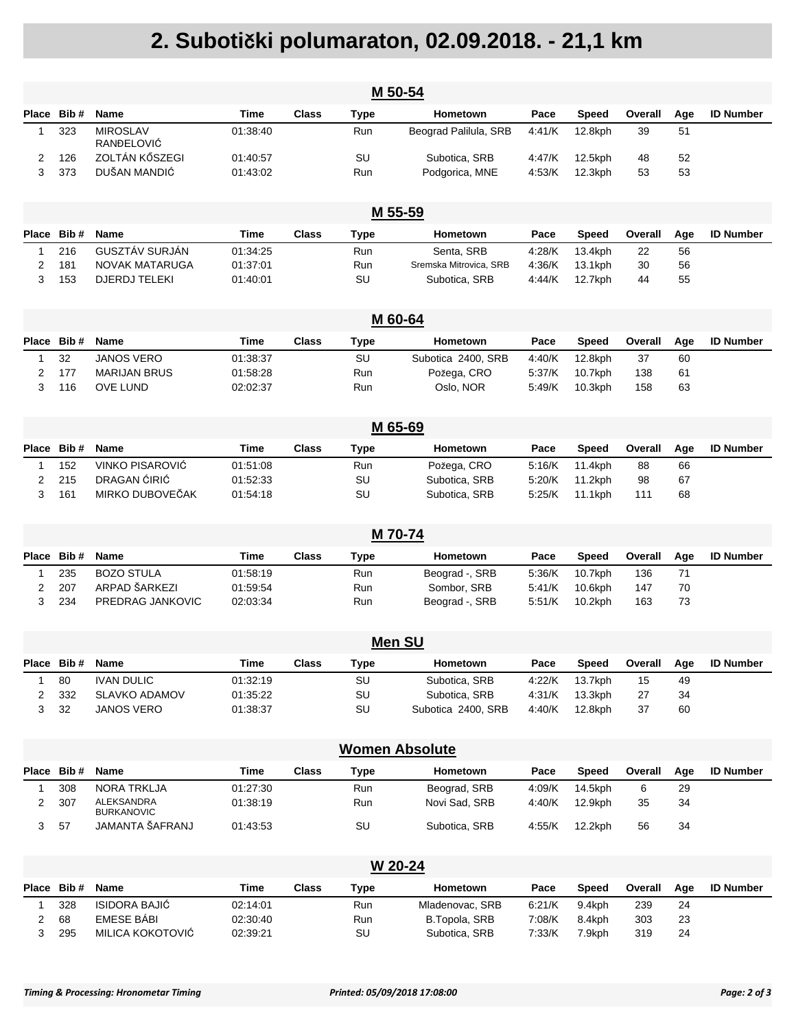## **2. Suboti**č**ki polumaraton, 02.09.2018. - 21,1 km**

| M 50-54 |                 |                                       |                      |              |             |                                |                  |                    |            |          |                  |
|---------|-----------------|---------------------------------------|----------------------|--------------|-------------|--------------------------------|------------------|--------------------|------------|----------|------------------|
| Place   | Bib#            | Name                                  | Time                 | Class        | Type        | <b>Hometown</b>                | Pace             | <b>Speed</b>       | Overall    | Age      | <b>ID Number</b> |
| 1       | 323             | <b>MIROSLAV</b><br>RANĐELOVIĆ         | 01:38:40             |              | Run         | Beograd Palilula, SRB          | 4:41/K           | 12.8kph            | 39         | 51       |                  |
| 2       | 126             | ZOLTÁN KŐSZEGI                        | 01:40:57             |              | SU          | Subotica, SRB                  | 4:47/K           | 12.5kph            | 48         | 52       |                  |
| 3       | 373             | DUŠAN MANDIĆ                          | 01:43:02             |              | Run         | Podgorica, MNE                 | 4:53/K           | 12.3kph            | 53         | 53       |                  |
|         |                 |                                       |                      |              |             | M 55-59                        |                  |                    |            |          |                  |
| Place   | Bib #           | Name                                  | Time                 | <b>Class</b> | <b>Type</b> | Hometown                       | Pace             | <b>Speed</b>       | Overall    | Age      | <b>ID Number</b> |
| 1       | 216             | GUSZTÁV SURJÁN                        | 01:34:25             |              | Run         | Senta, SRB                     | 4:28/K           | 13.4kph            | 22         | 56       |                  |
| 2       | 181             | <b>NOVAK MATARUGA</b>                 | 01:37:01             |              | Run         | Sremska Mitrovica, SRB         | 4:36/K           | 13.1kph            | 30         | 56       |                  |
| 3       | 153             | <b>DJERDJ TELEKI</b>                  | 01:40:01             |              | SU          | Subotica, SRB                  | 4:44/K           | 12.7kph            | 44         | 55       |                  |
|         |                 |                                       |                      |              |             | M 60-64                        |                  |                    |            |          |                  |
| Place   | Bib#            | Name                                  | Time                 | <b>Class</b> | Type        | <b>Hometown</b>                | Pace             | <b>Speed</b>       | Overall    | Age      | <b>ID Number</b> |
| 1       | 32              | <b>JANOS VERO</b>                     | 01:38:37             |              | SU          | Subotica 2400, SRB             | 4:40/K           | 12.8kph            | 37         | 60       |                  |
| 2       | 177             | <b>MARIJAN BRUS</b>                   | 01:58:28             |              | Run         | Požega, CRO                    | 5:37/K           | 10.7kph            | 138        | 61       |                  |
| 3       | 116             | <b>OVE LUND</b>                       | 02:02:37             |              | Run         | Oslo, NOR                      | 5:49/K           | 10.3kph            | 158        | 63       |                  |
|         |                 |                                       |                      |              |             | M 65-69                        |                  |                    |            |          |                  |
|         |                 |                                       |                      |              |             |                                |                  |                    |            |          |                  |
|         | Place Bib#      | Name                                  | Time                 | Class        | <b>Type</b> | Hometown                       | Pace             | <b>Speed</b>       | Overall    | Age      | <b>ID Number</b> |
| 1<br>2  | 152<br>215      | VINKO PISAROVIĆ<br>DRAGAN ĆIRIĆ       | 01:51:08<br>01:52:33 |              | Run<br>SU   | Požega, CRO<br>Subotica, SRB   | 5:16/K<br>5:20/K | 11.4kph<br>11.2kph | 88<br>98   | 66<br>67 |                  |
| 3       | 161             | MIRKO DUBOVEČAK                       | 01:54:18             |              | SU          | Subotica, SRB                  | 5:25/K           | 11.1kph            | 111        | 68       |                  |
|         |                 |                                       |                      |              |             |                                |                  |                    |            |          |                  |
|         |                 |                                       |                      |              |             | M 70-74                        |                  |                    |            |          |                  |
| Place   | Bib#            | Name                                  | Time                 | Class        | <b>Type</b> | Hometown                       | Pace             | <b>Speed</b>       | Overall    | Age      | <b>ID Number</b> |
| 1       | 235             | <b>BOZO STULA</b>                     | 01:58:19             |              | Run         | Beograd -, SRB                 | 5:36/K           | 10.7kph            | 136        | 71       |                  |
| 2       | 207             | ARPAD ŠARKEZI                         | 01:59:54             |              | Run         | Sombor, SRB                    | 5:41/K           | 10.6kph            | 147        | 70       |                  |
| 3       | 234             | PREDRAG JANKOVIC                      | 02:03:34             |              | Run         | Beograd -, SRB                 | 5:51/K           | 10.2kph            | 163        | 73       |                  |
|         |                 |                                       |                      |              |             | <b>Men SU</b>                  |                  |                    |            |          |                  |
|         | Place Bib# Name |                                       | <b>Time</b>          | <b>Class</b> | <b>Type</b> | Hometown                       | Pace             | Speed              | Overall    | Age      | <b>ID Number</b> |
| 1       | 80              | <b>IVAN DULIC</b>                     | 01:32:19             |              | SU          | Subotica, SRB                  | 4:22/K           | 13.7kph            | 15         | 49       |                  |
| 2       | 332             | SLAVKO ADAMOV                         | 01:35:22             |              | SU          | Subotica, SRB                  | 4:31/K           | 13.3kph            | 27         | 34       |                  |
| 3       | 32              | <b>JANOS VERO</b>                     | 01:38:37             |              | SU          | Subotica 2400, SRB             | 4:40/K           | 12.8kph            | 37         | 60       |                  |
|         |                 |                                       |                      |              |             |                                |                  |                    |            |          |                  |
|         |                 |                                       |                      |              |             | <b>Women Absolute</b>          |                  |                    |            |          |                  |
| Place   | Bib#            | Name                                  | <b>Time</b>          | <b>Class</b> | <b>Type</b> | <b>Hometown</b>                | Pace             | <b>Speed</b>       | Overall    | Age      | <b>ID Number</b> |
| 1       | 308             | NORA TRKLJA                           | 01:27:30             |              | Run         | Beograd, SRB                   | 4:09/K           | 14.5kph            | 6          | 29       |                  |
| 2       | 307             | ALEKSANDRA<br><b>BURKANOVIC</b>       | 01:38:19             |              | Run         | Novi Sad, SRB                  | 4:40/K           | 12.9kph            | 35         | 34       |                  |
| 3       | 57              | JAMANTA ŠAFRANJ                       | 01:43:53             |              | SU          | Subotica, SRB                  | 4:55/K           | 12.2kph            | 56         | 34       |                  |
|         |                 |                                       |                      |              |             | W 20-24                        |                  |                    |            |          |                  |
|         |                 |                                       |                      |              |             |                                |                  |                    |            |          |                  |
|         | Place Bib#      | Name                                  | <b>Time</b>          | <b>Class</b> | <b>Type</b> | Hometown                       | Pace             | <b>Speed</b>       | Overall    | Age      | <b>ID Number</b> |
| 1       | 328             | <b>ISIDORA BAJIĆ</b>                  | 02:14:01             |              | Run         | Mladenovac, SRB                | 6:21/K           | 9.4kph             | 239        | 24       |                  |
| 2<br>3  | 68<br>295       | <b>EMESE BÁBI</b><br>MILICA KOKOTOVIĆ | 02:30:40<br>02:39:21 |              | Run<br>SU   | B.Topola, SRB<br>Subotica, SRB | 7:08/K<br>7:33/K | 8.4kph<br>7.9kph   | 303<br>319 | 23<br>24 |                  |
|         |                 |                                       |                      |              |             |                                |                  |                    |            |          |                  |